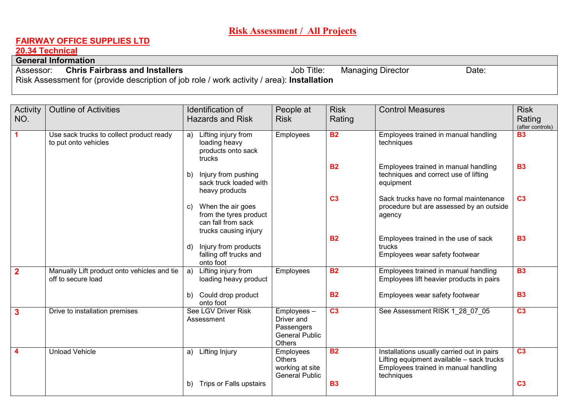# **Risk Assessment / All Projects**

## **FAIRWAY OFFICE SUPPLIES LTD**

## **20.34 Technical**

#### **General Information**

 Assessor: **Chris Fairbrassand Installers Job Title:** Managing Director Date: Risk Assessment for (provide description of job role / work activity / area): **Installation** 

| Activity<br>NO.         | <b>Outline of Activities</b>                                      | Identification of<br><b>Hazards and Risk</b>                                                     | People at<br><b>Risk</b>                                                         | <b>Risk</b><br>Rating | <b>Control Measures</b>                                                                                                                       | <b>Risk</b><br>Rating<br>(after controls) |
|-------------------------|-------------------------------------------------------------------|--------------------------------------------------------------------------------------------------|----------------------------------------------------------------------------------|-----------------------|-----------------------------------------------------------------------------------------------------------------------------------------------|-------------------------------------------|
| 1                       | Use sack trucks to collect product ready<br>to put onto vehicles  | Lifting injury from<br>a)<br>loading heavy<br>products onto sack<br>trucks                       | Employees                                                                        | <b>B2</b>             | Employees trained in manual handling<br>techniques                                                                                            | <b>B3</b>                                 |
|                         |                                                                   | Injury from pushing<br>b)<br>sack truck loaded with<br>heavy products                            |                                                                                  | <b>B2</b>             | Employees trained in manual handling<br>techniques and correct use of lifting<br>equipment                                                    | <b>B3</b>                                 |
|                         |                                                                   | When the air goes<br>C)<br>from the tyres product<br>can fall from sack<br>trucks causing injury |                                                                                  | C <sub>3</sub>        | Sack trucks have no formal maintenance<br>procedure but are assessed by an outside<br>agency                                                  | C <sub>3</sub>                            |
|                         |                                                                   | Injury from products<br>d)<br>falling off trucks and<br>onto foot                                |                                                                                  | <b>B2</b>             | Employees trained in the use of sack<br>trucks<br>Employees wear safety footwear                                                              | <b>B3</b>                                 |
| $\overline{2}$          | Manually Lift product onto vehicles and tie<br>off to secure load | Lifting injury from<br>a)<br>loading heavy product                                               | Employees                                                                        | <b>B2</b>             | Employees trained in manual handling<br>Employees lift heavier products in pairs                                                              | <b>B3</b>                                 |
|                         |                                                                   | Could drop product<br>b)<br>onto foot                                                            |                                                                                  | <b>B2</b>             | Employees wear safety footwear                                                                                                                | <b>B3</b>                                 |
| $\overline{\mathbf{3}}$ | Drive to installation premises                                    | See LGV Driver Risk<br>Assessment                                                                | Employees-<br>Driver and<br>Passengers<br><b>General Public</b><br><b>Others</b> | C <sub>3</sub>        | See Assessment RISK 1 28 07 05                                                                                                                | C <sub>3</sub>                            |
| $\blacktriangle$        | <b>Unload Vehicle</b>                                             | <b>Lifting Injury</b><br>a)                                                                      | Employees<br><b>Others</b><br>working at site<br><b>General Public</b>           | <b>B2</b>             | Installations usually carried out in pairs<br>Lifting equipment available - sack trucks<br>Employees trained in manual handling<br>techniques | C <sub>3</sub>                            |
|                         |                                                                   | Trips or Falls upstairs<br>b)                                                                    |                                                                                  | <b>B3</b>             |                                                                                                                                               | C <sub>3</sub>                            |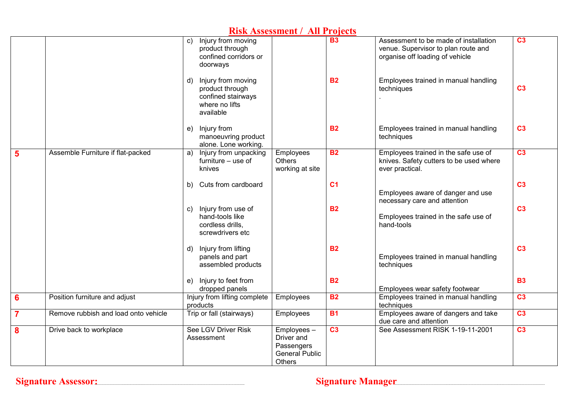| <b>Risk Assessment / All Projects</b> |                                      |                                                                                                  |                                                                                  |                 |                                                                                                                 |                 |  |  |  |  |
|---------------------------------------|--------------------------------------|--------------------------------------------------------------------------------------------------|----------------------------------------------------------------------------------|-----------------|-----------------------------------------------------------------------------------------------------------------|-----------------|--|--|--|--|
|                                       |                                      | Injury from moving<br>C)<br>product through<br>confined corridors or<br>doorways                 |                                                                                  | <b>B3</b>       | Assessment to be made of installation<br>venue. Supervisor to plan route and<br>organise off loading of vehicle | C <sub>3</sub>  |  |  |  |  |
|                                       |                                      | Injury from moving<br>d)<br>product through<br>confined stairways<br>where no lifts<br>available |                                                                                  | <b>B2</b>       | Employees trained in manual handling<br>techniques                                                              | C <sub>3</sub>  |  |  |  |  |
|                                       |                                      | Injury from<br>e)<br>manoeuvring product<br>alone. Lone working.                                 |                                                                                  | <b>B2</b>       | Employees trained in manual handling<br>techniques                                                              | C <sub>3</sub>  |  |  |  |  |
| 5                                     | Assemble Furniture if flat-packed    | Injury from unpacking<br>a)<br>furniture – use of<br>knives                                      | Employees<br>Others<br>working at site                                           | <b>B2</b>       | Employees trained in the safe use of<br>knives. Safety cutters to be used where<br>ever practical.              | C <sub>3</sub>  |  |  |  |  |
|                                       |                                      | Cuts from cardboard<br>b)                                                                        |                                                                                  | C <sub>1</sub>  | Employees aware of danger and use<br>necessary care and attention                                               | C <sub>3</sub>  |  |  |  |  |
|                                       |                                      | Injury from use of<br>C)<br>hand-tools like<br>cordless drills,<br>screwdrivers etc              |                                                                                  | <b>B2</b>       | Employees trained in the safe use of<br>hand-tools                                                              | C <sub>3</sub>  |  |  |  |  |
|                                       |                                      | Injury from lifting<br>d)<br>panels and part<br>assembled products                               |                                                                                  | <b>B2</b>       | Employees trained in manual handling<br>techniques                                                              | C <sub>3</sub>  |  |  |  |  |
|                                       |                                      | Injury to feet from<br>e)<br>dropped panels                                                      |                                                                                  | <b>B2</b>       | Employees wear safety footwear                                                                                  | <b>B3</b>       |  |  |  |  |
| 6                                     | Position furniture and adjust        | Injury from lifting complete<br>products                                                         | Employees                                                                        | <b>B2</b>       | Employees trained in manual handling<br>techniques                                                              | C <sub>3</sub>  |  |  |  |  |
| $\overline{7}$                        | Remove rubbish and load onto vehicle | Trip or fall (stairways)                                                                         | Employees                                                                        | <b>B1</b>       | Employees aware of dangers and take<br>due care and attention                                                   | C <sub>3</sub>  |  |  |  |  |
| 8                                     | Drive back to workplace              | See LGV Driver Risk<br>Assessment                                                                | Employees-<br>Driver and<br>Passengers<br><b>General Public</b><br><b>Others</b> | $\overline{C3}$ | See Assessment RISK 1-19-11-2001                                                                                | $\overline{C3}$ |  |  |  |  |

**Signature Assessor:** Signature Manager Signature Manager Signature Manager Signature Manager Signature Manager Signature Manager Signature Manager Signature Manager Signature Manager Signature Manager Signature Manager Si